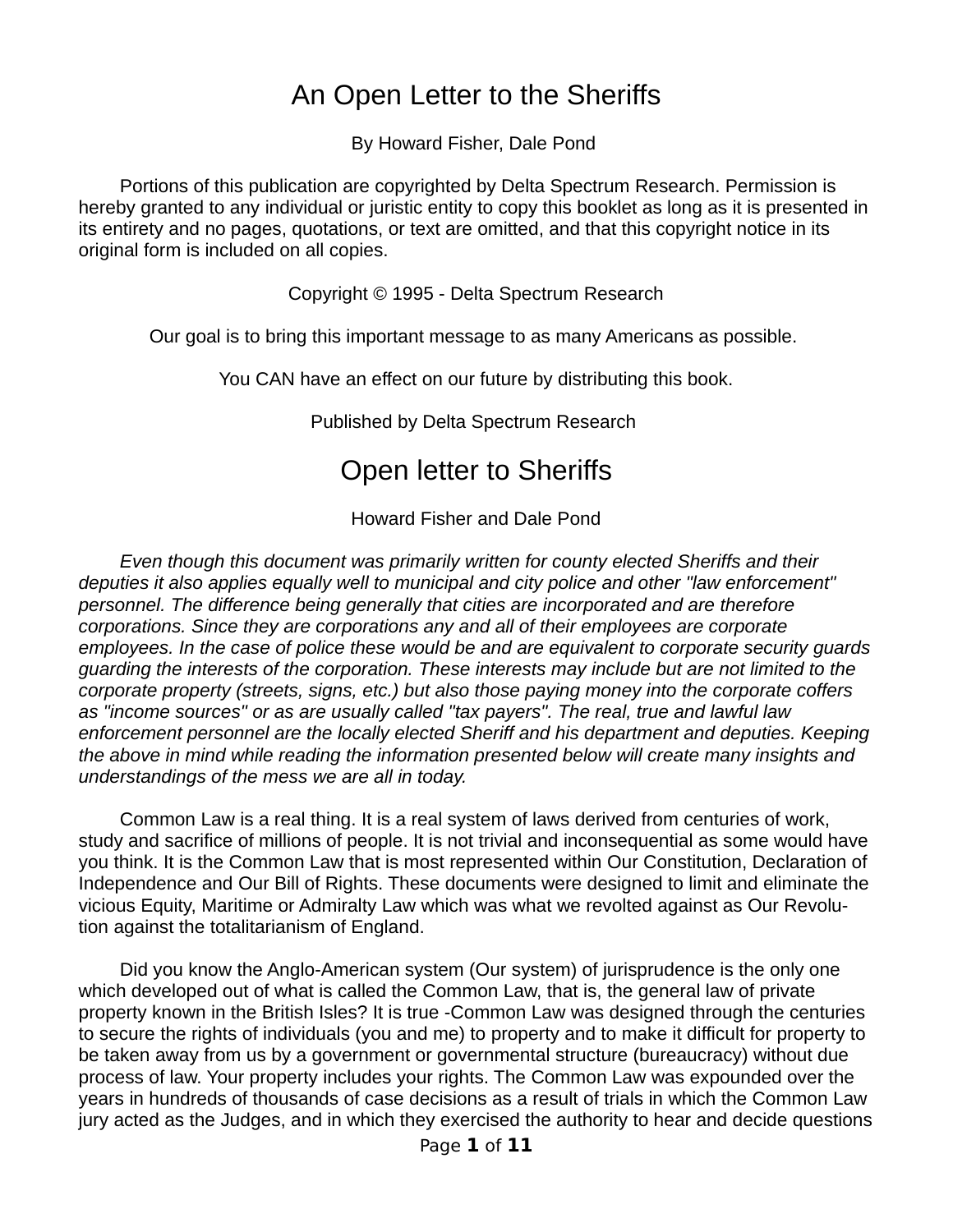## An Open Letter to the Sheriffs

By Howard Fisher, Dale Pond

 Portions of this publication are copyrighted by Delta Spectrum Research. Permission is hereby granted to any individual or juristic entity to copy this booklet as long as it is presented in its entirety and no pages, quotations, or text are omitted, and that this copyright notice in its original form is included on all copies.

Copyright © 1995 - Delta Spectrum Research

Our goal is to bring this important message to as many Americans as possible.

You CAN have an effect on our future by distributing this book.

Published by Delta Spectrum Research

# Open letter to Sheriffs

Howard Fisher and Dale Pond

 *Even though this document was primarily written for county elected Sheriffs and their deputies it also applies equally well to municipal and city police and other "law enforcement" personnel. The difference being generally that cities are incorporated and are therefore corporations. Since they are corporations any and all of their employees are corporate employees. In the case of police these would be and are equivalent to corporate security guards guarding the interests of the corporation. These interests may include but are not limited to the corporate property (streets, signs, etc.) but also those paying money into the corporate coffers as "income sources" or as are usually called "tax payers". The real, true and lawful law enforcement personnel are the locally elected Sheriff and his department and deputies. Keeping the above in mind while reading the information presented below will create many insights and understandings of the mess we are all in today.* 

 Common Law is a real thing. It is a real system of laws derived from centuries of work, study and sacrifice of millions of people. It is not trivial and inconsequential as some would have you think. It is the Common Law that is most represented within Our Constitution, Declaration of Independence and Our Bill of Rights. These documents were designed to limit and eliminate the vicious Equity, Maritime or Admiralty Law which was what we revolted against as Our Revolution against the totalitarianism of England.

 Did you know the Anglo-American system (Our system) of jurisprudence is the only one which developed out of what is called the Common Law, that is, the general law of private property known in the British Isles? It is true -Common Law was designed through the centuries to secure the rights of individuals (you and me) to property and to make it difficult for property to be taken away from us by a government or governmental structure (bureaucracy) without due process of law. Your property includes your rights. The Common Law was expounded over the years in hundreds of thousands of case decisions as a result of trials in which the Common Law jury acted as the Judges, and in which they exercised the authority to hear and decide questions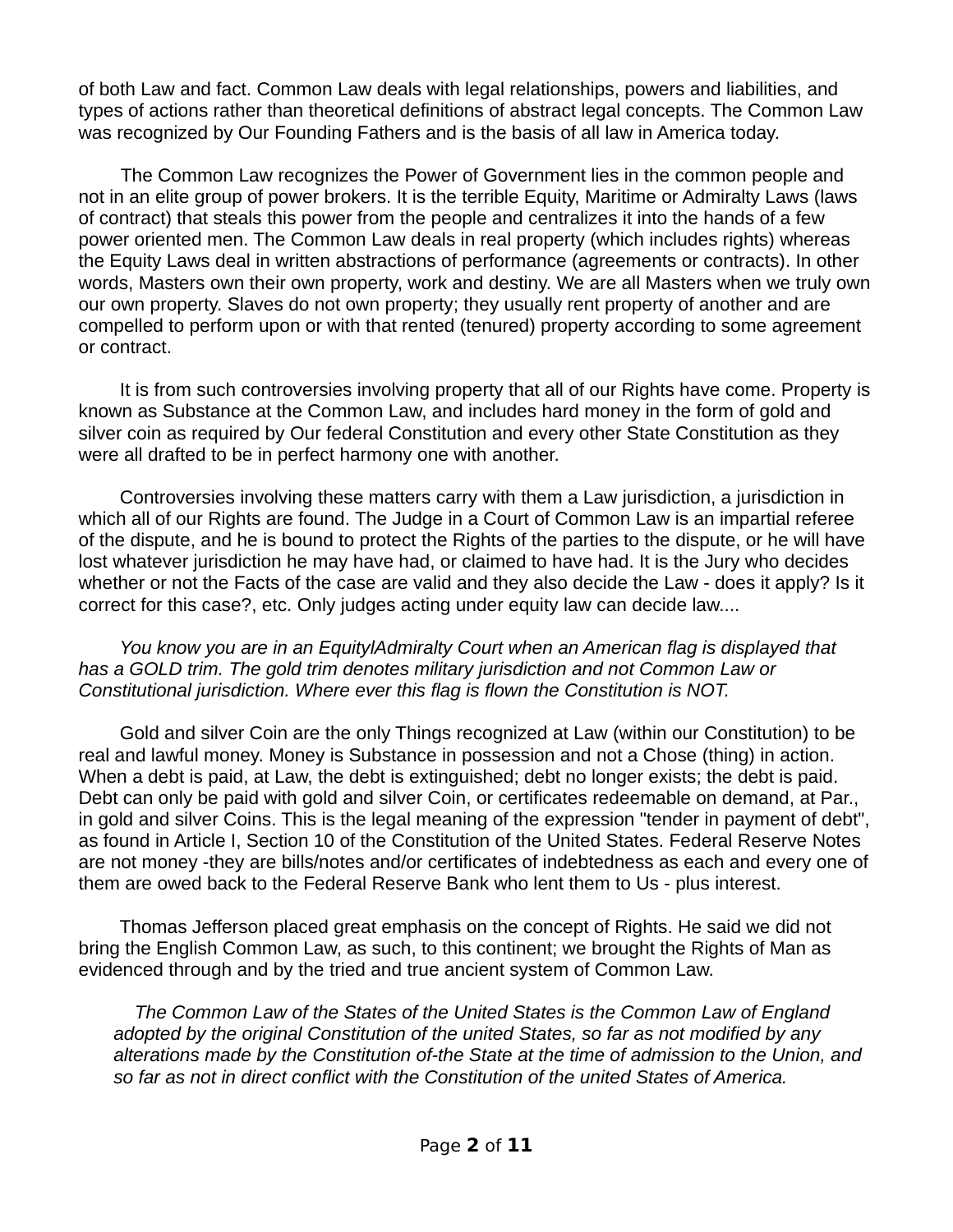of both Law and fact. Common Law deals with legal relationships, powers and liabilities, and types of actions rather than theoretical definitions of abstract legal concepts. The Common Law was recognized by Our Founding Fathers and is the basis of all law in America today.

The Common Law recognizes the Power of Government lies in the common people and not in an elite group of power brokers. It is the terrible Equity, Maritime or Admiralty Laws (laws of contract) that steals this power from the people and centralizes it into the hands of a few power oriented men. The Common Law deals in real property (which includes rights) whereas the Equity Laws deal in written abstractions of performance (agreements or contracts). In other words, Masters own their own property, work and destiny. We are all Masters when we truly own our own property. Slaves do not own property; they usually rent property of another and are compelled to perform upon or with that rented (tenured) property according to some agreement or contract.

 It is from such controversies involving property that all of our Rights have come. Property is known as Substance at the Common Law, and includes hard money in the form of gold and silver coin as required by Our federal Constitution and every other State Constitution as they were all drafted to be in perfect harmony one with another.

 Controversies involving these matters carry with them a Law jurisdiction, a jurisdiction in which all of our Rights are found. The Judge in a Court of Common Law is an impartial referee of the dispute, and he is bound to protect the Rights of the parties to the dispute, or he will have lost whatever jurisdiction he may have had, or claimed to have had. It is the Jury who decides whether or not the Facts of the case are valid and they also decide the Law - does it apply? Is it correct for this case?, etc. Only judges acting under equity law can decide law....

 *You know you are in an EquitylAdmiralty Court when an American flag is displayed that has a GOLD trim. The gold trim denotes military jurisdiction and not Common Law or Constitutional jurisdiction. Where ever this flag is flown the Constitution is NOT.* 

 Gold and silver Coin are the only Things recognized at Law (within our Constitution) to be real and lawful money. Money is Substance in possession and not a Chose (thing) in action. When a debt is paid, at Law, the debt is extinguished; debt no longer exists; the debt is paid. Debt can only be paid with gold and silver Coin, or certificates redeemable on demand, at Par., in gold and silver Coins. This is the legal meaning of the expression "tender in payment of debt", as found in Article I, Section 10 of the Constitution of the United States. Federal Reserve Notes are not money -they are bills/notes and/or certificates of indebtedness as each and every one of them are owed back to the Federal Reserve Bank who lent them to Us - plus interest.

 Thomas Jefferson placed great emphasis on the concept of Rights. He said we did not bring the English Common Law, as such, to this continent; we brought the Rights of Man as evidenced through and by the tried and true ancient system of Common Law.

*The Common Law of the States of the United States is the Common Law of England adopted by the original Constitution of the united States, so far as not modified by any alterations made by the Constitution of-the State at the time of admission to the Union, and so far as not in direct conflict with the Constitution of the united States of America.*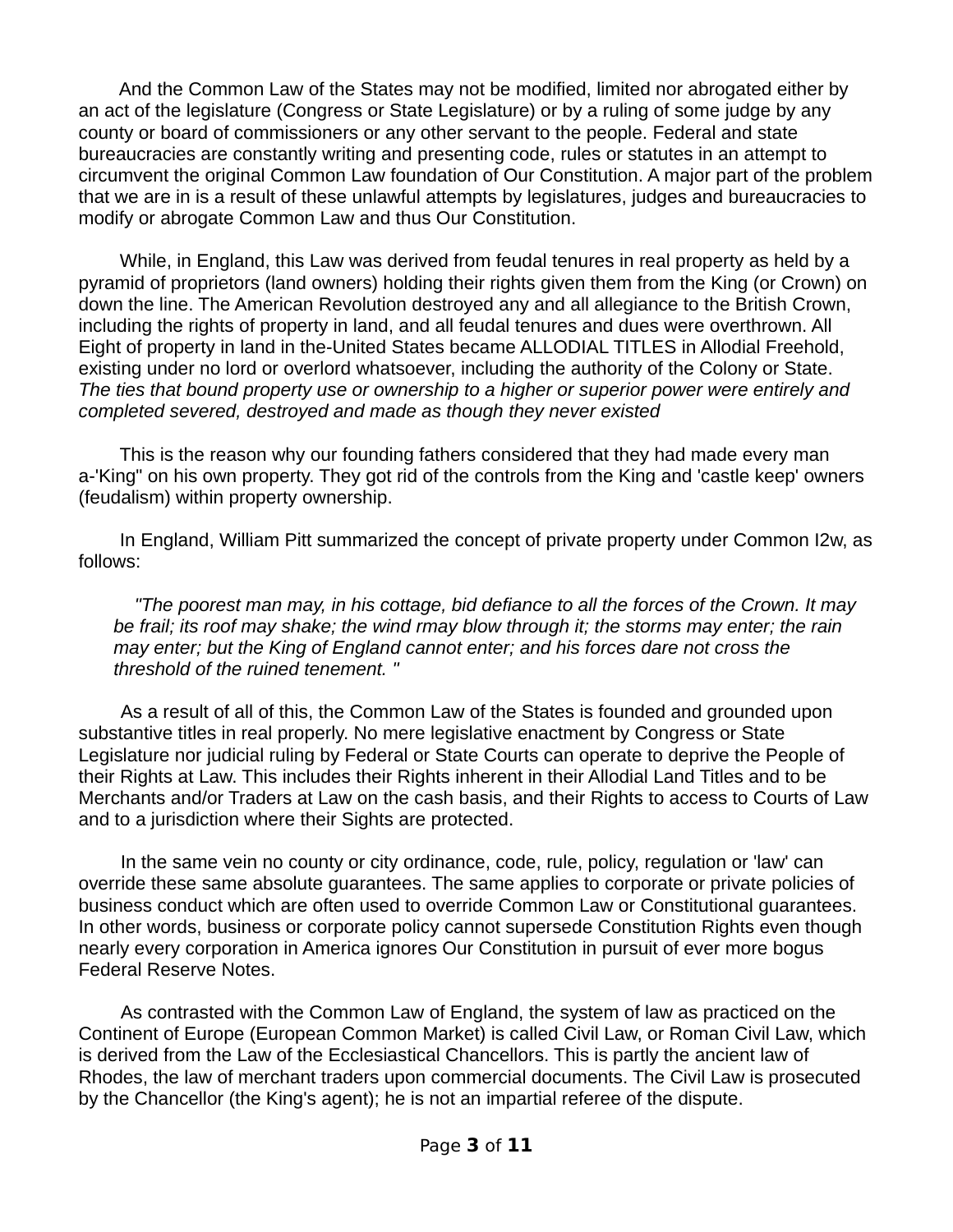And the Common Law of the States may not be modified, limited nor abrogated either by an act of the legislature (Congress or State Legislature) or by a ruling of some judge by any county or board of commissioners or any other servant to the people. Federal and state bureaucracies are constantly writing and presenting code, rules or statutes in an attempt to circumvent the original Common Law foundation of Our Constitution. A major part of the problem that we are in is a result of these unlawful attempts by legislatures, judges and bureaucracies to modify or abrogate Common Law and thus Our Constitution.

 While, in England, this Law was derived from feudal tenures in real property as held by a pyramid of proprietors (land owners) holding their rights given them from the King (or Crown) on down the line. The American Revolution destroyed any and all allegiance to the British Crown, including the rights of property in land, and all feudal tenures and dues were overthrown. All Eight of property in land in the-United States became ALLODIAL TITLES in Allodial Freehold, existing under no lord or overlord whatsoever, including the authority of the Colony or State. *The ties that bound property use or ownership to a higher or superior power were entirely and completed severed, destroyed and made as though they never existed*

 This is the reason why our founding fathers considered that they had made every man a-'King" on his own property. They got rid of the controls from the King and 'castle keep' owners (feudalism) within property ownership.

 In England, William Pitt summarized the concept of private property under Common I2w, as follows:

*"The poorest man may, in his cottage, bid defiance to all the forces of the Crown. It may be frail; its roof may shake; the wind rmay blow through it; the storms may enter; the rain may enter; but the King of England cannot enter; and his forces dare not cross the threshold of the ruined tenement. "* 

As a result of all of this, the Common Law of the States is founded and grounded upon substantive titles in real properly. No mere legislative enactment by Congress or State Legislature nor judicial ruling by Federal or State Courts can operate to deprive the People of their Rights at Law. This includes their Rights inherent in their Allodial Land Titles and to be Merchants and/or Traders at Law on the cash basis, and their Rights to access to Courts of Law and to a jurisdiction where their Sights are protected.

In the same vein no county or city ordinance, code, rule, policy, regulation or 'law' can override these same absolute guarantees. The same applies to corporate or private policies of business conduct which are often used to override Common Law or Constitutional guarantees. In other words, business or corporate policy cannot supersede Constitution Rights even though nearly every corporation in America ignores Our Constitution in pursuit of ever more bogus Federal Reserve Notes.

As contrasted with the Common Law of England, the system of law as practiced on the Continent of Europe (European Common Market) is called Civil Law, or Roman Civil Law, which is derived from the Law of the Ecclesiastical Chancellors. This is partly the ancient law of Rhodes, the law of merchant traders upon commercial documents. The Civil Law is prosecuted by the Chancellor (the King's agent); he is not an impartial referee of the dispute.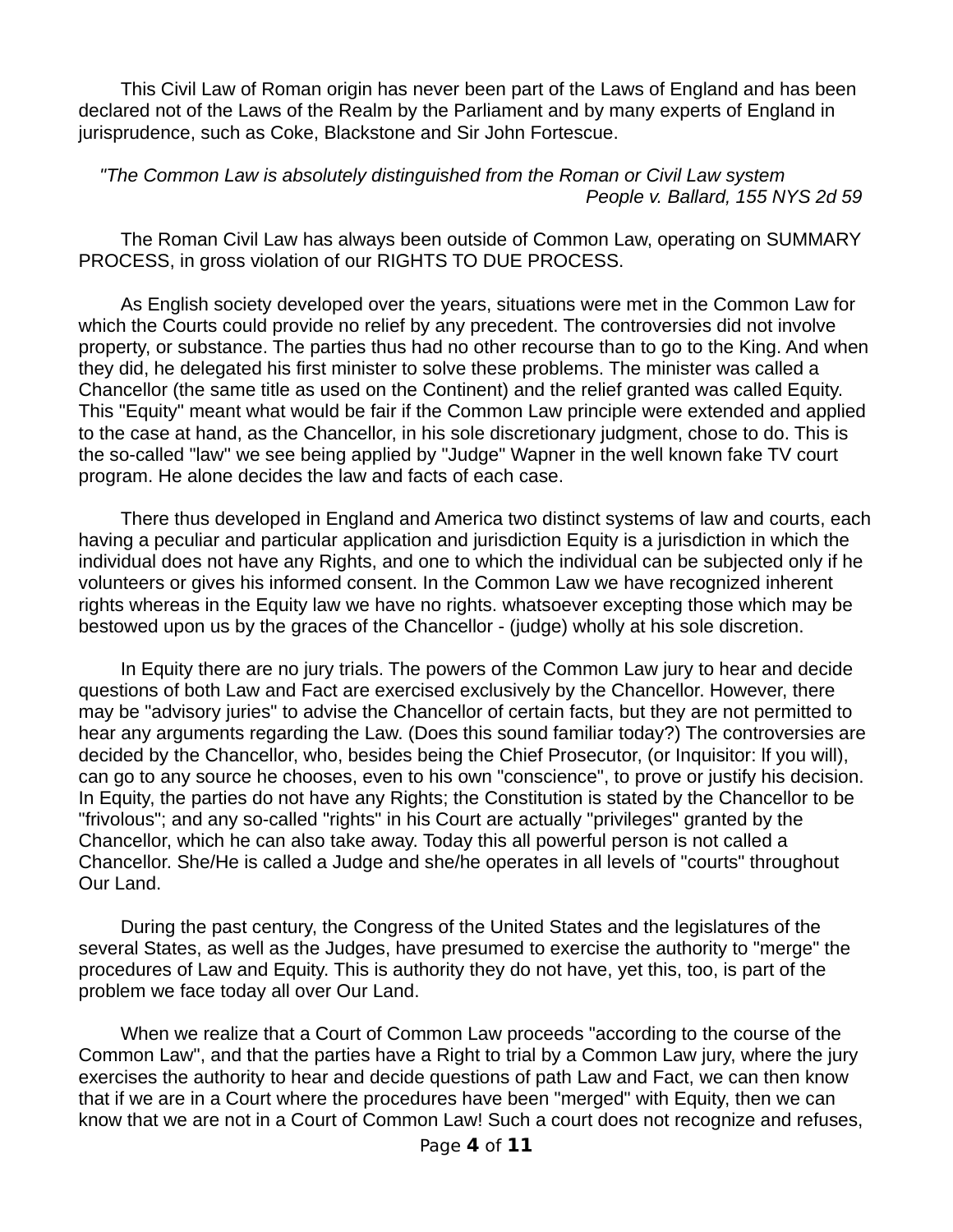This Civil Law of Roman origin has never been part of the Laws of England and has been declared not of the Laws of the Realm by the Parliament and by many experts of England in jurisprudence, such as Coke, Blackstone and Sir John Fortescue.

#### *"The Common Law is absolutely distinguished from the Roman or Civil Law system People v. Ballard, 155 NYS 2d 59*

The Roman Civil Law has always been outside of Common Law, operating on SUMMARY PROCESS, in gross violation of our RIGHTS TO DUE PROCESS.

As English society developed over the years, situations were met in the Common Law for which the Courts could provide no relief by any precedent. The controversies did not involve property, or substance. The parties thus had no other recourse than to go to the King. And when they did, he delegated his first minister to solve these problems. The minister was called a Chancellor (the same title as used on the Continent) and the relief granted was called Equity. This "Equity" meant what would be fair if the Common Law principle were extended and applied to the case at hand, as the Chancellor, in his sole discretionary judgment, chose to do. This is the so-called "law'' we see being applied by "Judge" Wapner in the well known fake TV court program. He alone decides the law and facts of each case.

There thus developed in England and America two distinct systems of law and courts, each having a peculiar and particular application and jurisdiction Equity is a jurisdiction in which the individual does not have any Rights, and one to which the individual can be subjected only if he volunteers or gives his informed consent. In the Common Law we have recognized inherent rights whereas in the Equity law we have no rights. whatsoever excepting those which may be bestowed upon us by the graces of the Chancellor - (judge) wholly at his sole discretion.

In Equity there are no jury trials. The powers of the Common Law jury to hear and decide questions of both Law and Fact are exercised exclusively by the Chancellor. However, there may be "advisory juries" to advise the Chancellor of certain facts, but they are not permitted to hear any arguments regarding the Law. (Does this sound familiar today?) The controversies are decided by the Chancellor, who, besides being the Chief Prosecutor, (or Inquisitor: lf you will), can go to any source he chooses, even to his own "conscience", to prove or justify his decision. In Equity, the parties do not have any Rights; the Constitution is stated by the Chancellor to be "frivolous"; and any so-called "rights" in his Court are actually "privileges" granted by the Chancellor, which he can also take away. Today this all powerful person is not called a Chancellor. She/He is called a Judge and she/he operates in all levels of "courts" throughout Our Land.

During the past century, the Congress of the United States and the legislatures of the several States, as well as the Judges, have presumed to exercise the authority to "merge" the procedures of Law and Equity. This is authority they do not have, yet this, too, is part of the problem we face today all over Our Land.

When we realize that a Court of Common Law proceeds "according to the course of the Common Law", and that the parties have a Right to trial by a Common Law jury, where the jury exercises the authority to hear and decide questions of path Law and Fact, we can then know that if we are in a Court where the procedures have been "merged" with Equity, then we can know that we are not in a Court of Common Law! Such a court does not recognize and refuses,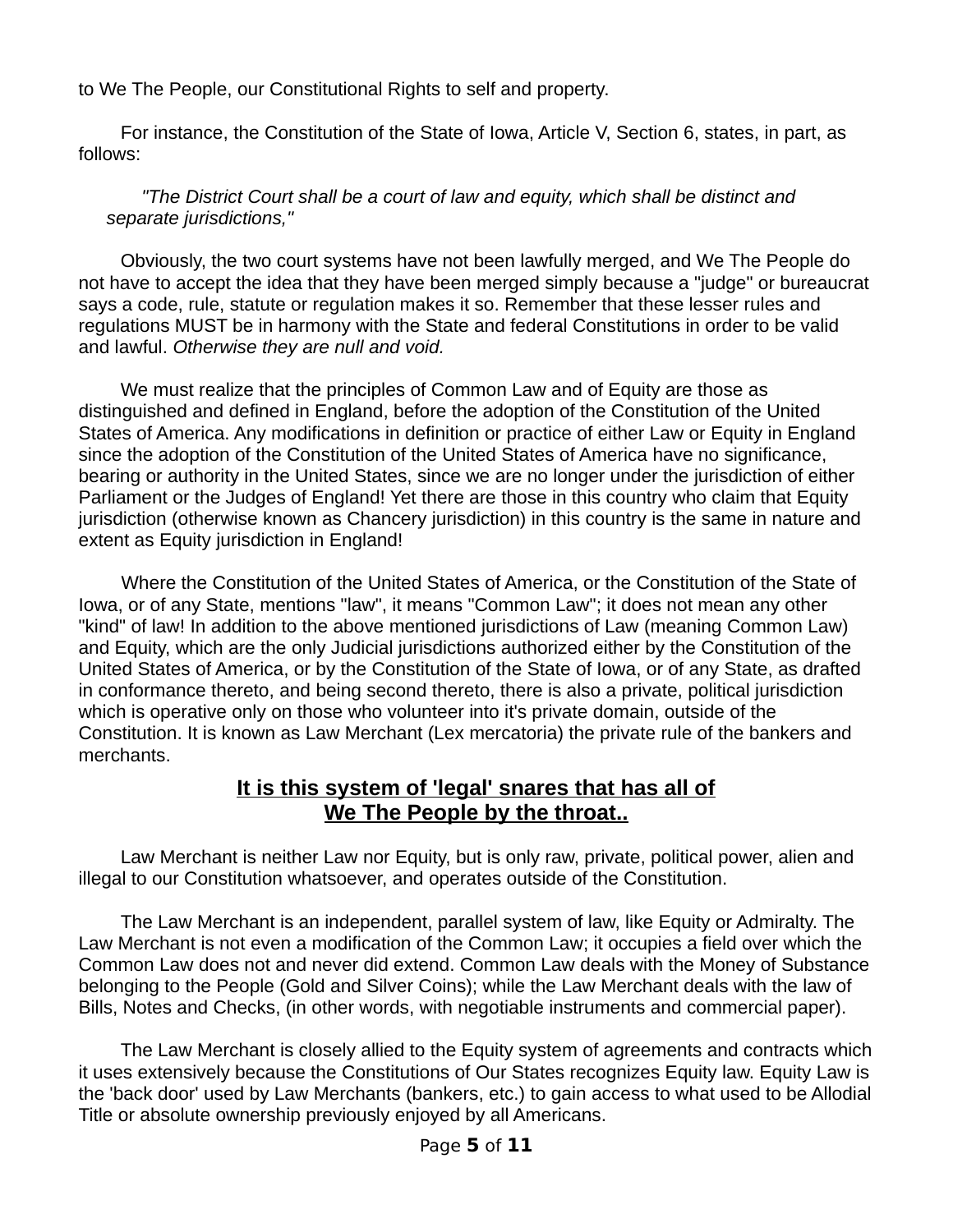to We The People, our Constitutional Rights to self and property.

For instance, the Constitution of the State of Iowa, Article V, Section 6, states, in part, as follows:

*"The District Court shall be a court of law and equity, which shall be distinct and separate jurisdictions,"* 

Obviously, the two court systems have not been lawfully merged, and We The People do not have to accept the idea that they have been merged simply because a "judge" or bureaucrat says a code, rule, statute or regulation makes it so. Remember that these lesser rules and regulations MUST be in harmony with the State and federal Constitutions in order to be valid and lawful. *Otherwise they are null and void.*

We must realize that the principles of Common Law and of Equity are those as distinguished and defined in England, before the adoption of the Constitution of the United States of America. Any modifications in definition or practice of either Law or Equity in England since the adoption of the Constitution of the United States of America have no significance, bearing or authority in the United States, since we are no longer under the jurisdiction of either Parliament or the Judges of England! Yet there are those in this country who claim that Equity jurisdiction (otherwise known as Chancery jurisdiction) in this country is the same in nature and extent as Equity jurisdiction in England!

Where the Constitution of the United States of America, or the Constitution of the State of Iowa, or of any State, mentions "law", it means "Common Law"; it does not mean any other "kind" of law! In addition to the above mentioned jurisdictions of Law (meaning Common Law) and Equity, which are the only Judicial jurisdictions authorized either by the Constitution of the United States of America, or by the Constitution of the State of Iowa, or of any State, as drafted in conformance thereto, and being second thereto, there is also a private, political jurisdiction which is operative only on those who volunteer into it's private domain, outside of the Constitution. It is known as Law Merchant (Lex mercatoria) the private rule of the bankers and merchants.

### **It is this system of 'legal' snares that has all of We The People by the throat..**

Law Merchant is neither Law nor Equity, but is only raw, private, political power, alien and illegal to our Constitution whatsoever, and operates outside of the Constitution.

The Law Merchant is an independent, parallel system of law, like Equity or Admiralty. The Law Merchant is not even a modification of the Common Law; it occupies a field over which the Common Law does not and never did extend. Common Law deals with the Money of Substance belonging to the People (Gold and Silver Coins); while the Law Merchant deals with the law of Bills, Notes and Checks, (in other words, with negotiable instruments and commercial paper).

The Law Merchant is closely allied to the Equity system of agreements and contracts which it uses extensively because the Constitutions of Our States recognizes Equity law. Equity Law is the 'back door' used by Law Merchants (bankers, etc.) to gain access to what used to be Allodial Title or absolute ownership previously enjoyed by all Americans.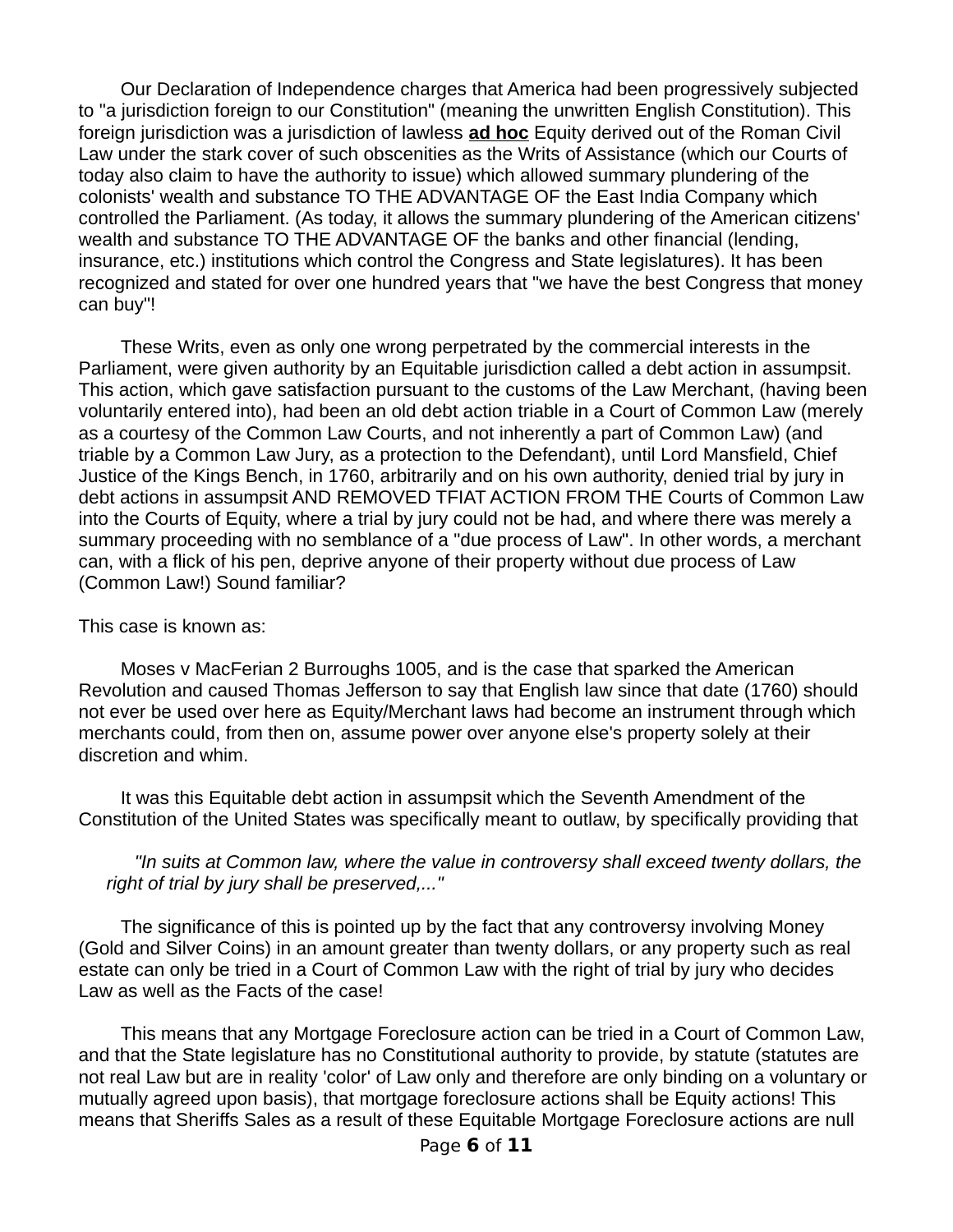Our Declaration of Independence charges that America had been progressively subjected to "a jurisdiction foreign to our Constitution" (meaning the unwritten English Constitution). This foreign jurisdiction was a jurisdiction of lawless **ad hoc** Equity derived out of the Roman Civil Law under the stark cover of such obscenities as the Writs of Assistance (which our Courts of today also claim to have the authority to issue) which allowed summary plundering of the colonists' wealth and substance TO THE ADVANTAGE OF the East India Company which controlled the Parliament. (As today, it allows the summary plundering of the American citizens' wealth and substance TO THE ADVANTAGE OF the banks and other financial (lending, insurance, etc.) institutions which control the Congress and State legislatures). It has been recognized and stated for over one hundred years that "we have the best Congress that money can buy"!

These Writs, even as only one wrong perpetrated by the commercial interests in the Parliament, were given authority by an Equitable jurisdiction called a debt action in assumpsit. This action, which gave satisfaction pursuant to the customs of the Law Merchant, (having been voluntarily entered into), had been an old debt action triable in a Court of Common Law (merely as a courtesy of the Common Law Courts, and not inherently a part of Common Law) (and triable by a Common Law Jury, as a protection to the Defendant), until Lord Mansfield, Chief Justice of the Kings Bench, in 1760, arbitrarily and on his own authority, denied trial by jury in debt actions in assumpsit AND REMOVED TFIAT ACTION FROM THE Courts of Common Law into the Courts of Equity, where a trial by jury could not be had, and where there was merely a summary proceeding with no semblance of a "due process of Law". In other words, a merchant can, with a flick of his pen, deprive anyone of their property without due process of Law (Common Law!) Sound familiar?

#### This case is known as:

Moses v MacFerian 2 Burroughs 1005, and is the case that sparked the American Revolution and caused Thomas Jefferson to say that English law since that date (1760) should not ever be used over here as Equity/Merchant laws had become an instrument through which merchants could, from then on, assume power over anyone else's property solely at their discretion and whim.

It was this Equitable debt action in assumpsit which the Seventh Amendment of the Constitution of the United States was specifically meant to outlaw, by specifically providing that

#### *"In suits at Common law, where the value in controversy shall exceed twenty dollars, the right of trial by jury shall be preserved,..."*

The significance of this is pointed up by the fact that any controversy involving Money (Gold and Silver Coins) in an amount greater than twenty dollars, or any property such as real estate can only be tried in a Court of Common Law with the right of trial by jury who decides Law as well as the Facts of the case!

This means that any Mortgage Foreclosure action can be tried in a Court of Common Law, and that the State legislature has no Constitutional authority to provide, by statute (statutes are not real Law but are in reality 'color' of Law only and therefore are only binding on a voluntary or mutually agreed upon basis), that mortgage foreclosure actions shall be Equity actions! This means that Sheriffs Sales as a result of these Equitable Mortgage Foreclosure actions are null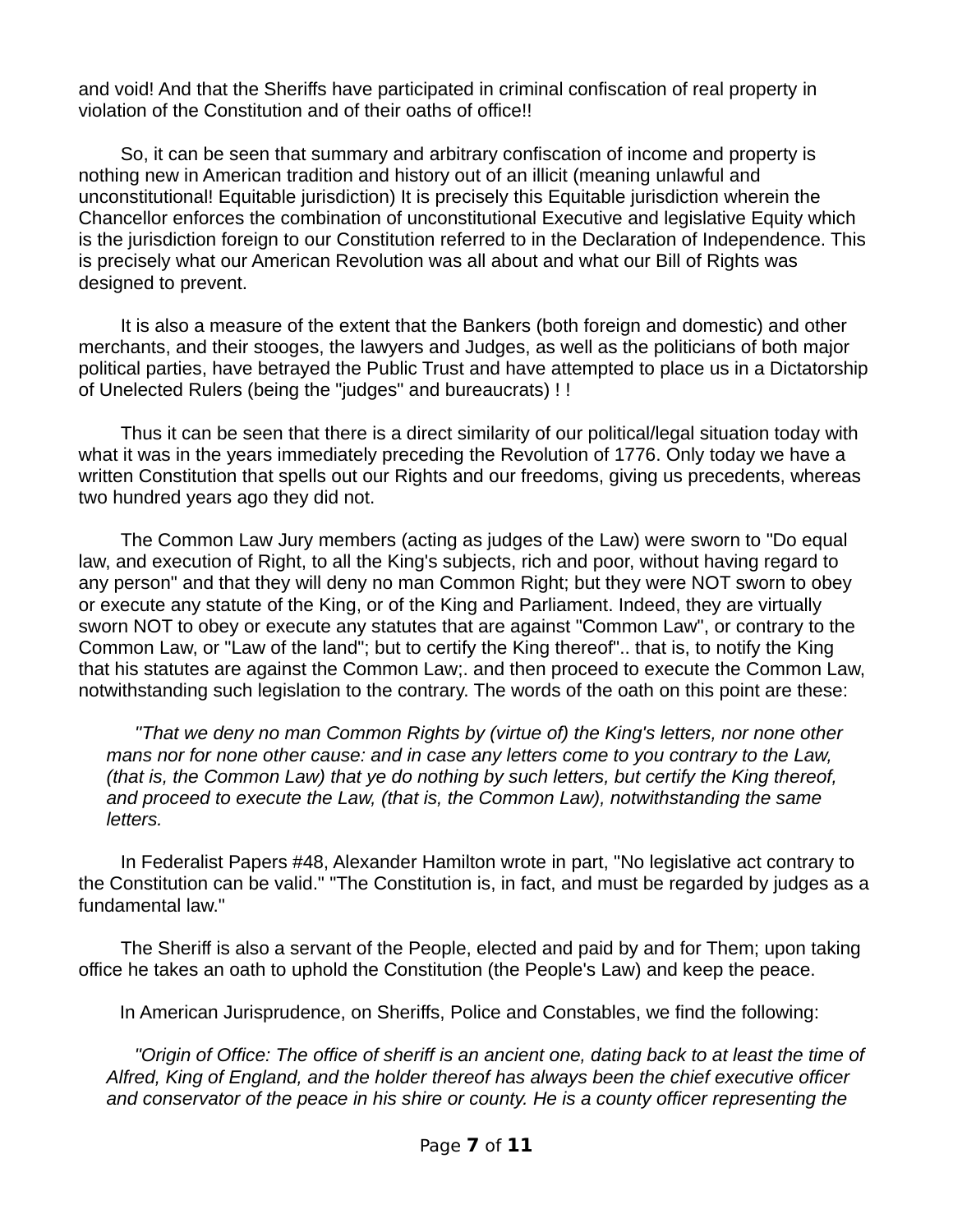and void! And that the Sheriffs have participated in criminal confiscation of real property in violation of the Constitution and of their oaths of office!!

So, it can be seen that summary and arbitrary confiscation of income and property is nothing new in American tradition and history out of an illicit (meaning unlawful and unconstitutional! Equitable jurisdiction) It is precisely this Equitable jurisdiction wherein the Chancellor enforces the combination of unconstitutional Executive and legislative Equity which is the jurisdiction foreign to our Constitution referred to in the Declaration of Independence. This is precisely what our American Revolution was all about and what our Bill of Rights was designed to prevent.

It is also a measure of the extent that the Bankers (both foreign and domestic) and other merchants, and their stooges, the lawyers and Judges, as well as the politicians of both major political parties, have betrayed the Public Trust and have attempted to place us in a Dictatorship of Unelected Rulers (being the "judges" and bureaucrats) ! !

Thus it can be seen that there is a direct similarity of our political/legal situation today with what it was in the years immediately preceding the Revolution of 1776. Only today we have a written Constitution that spells out our Rights and our freedoms, giving us precedents, whereas two hundred years ago they did not.

The Common Law Jury members (acting as judges of the Law) were sworn to "Do equal law, and execution of Right, to all the King's subjects, rich and poor, without having regard to any person" and that they will deny no man Common Right; but they were NOT sworn to obey or execute any statute of the King, or of the King and Parliament. Indeed, they are virtually sworn NOT to obey or execute any statutes that are against "Common Law", or contrary to the Common Law, or "Law of the land"; but to certify the King thereof".. that is, to notify the King that his statutes are against the Common Law;. and then proceed to execute the Common Law, notwithstanding such legislation to the contrary. The words of the oath on this point are these:

*''That we deny no man Common Rights by (virtue of) the King's letters, nor none other mans nor for none other cause: and in case any letters come to you contrary to the Law, (that is, the Common Law) that ye do nothing by such letters, but certify the King thereof, and proceed to execute the Law, (that is, the Common Law), notwithstanding the same letters.* 

In Federalist Papers #48, Alexander Hamilton wrote in part, "No legislative act contrary to the Constitution can be valid." "The Constitution is, in fact, and must be regarded by judges as a fundamental law."

The Sheriff is also a servant of the People, elected and paid by and for Them; upon taking office he takes an oath to uphold the Constitution (the People's Law) and keep the peace.

In American Jurisprudence, on Sheriffs, Police and Constables, we find the following:

*"Origin of Office: The office of sheriff is an ancient one, dating back to at least the time of Alfred, King of England, and the holder thereof has always been the chief executive officer and conservator of the peace in his shire or county. He is a county officer representing the*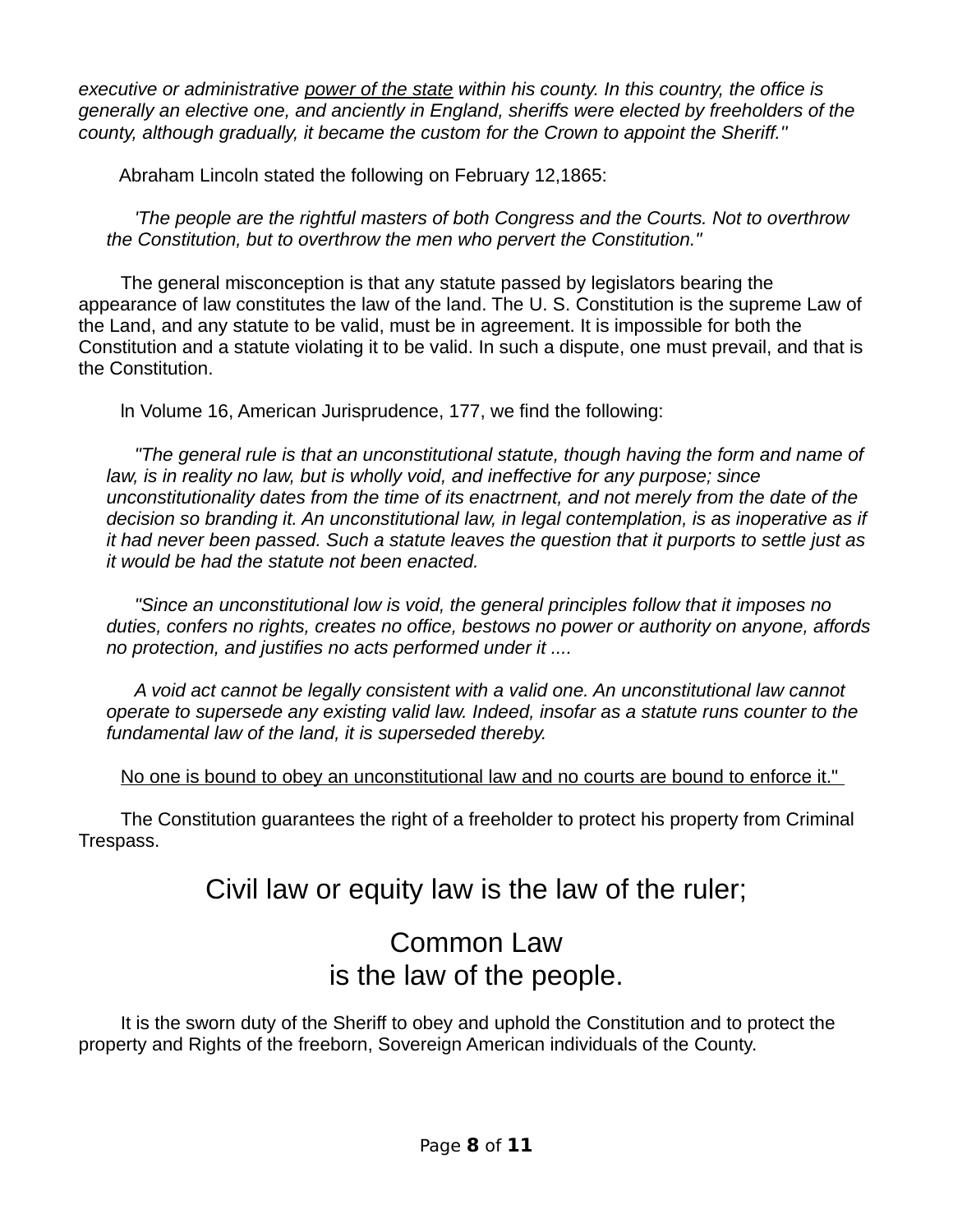*executive or administrative power of the state within his county. In this country, the office is generally an elective one, and anciently in England, sheriffs were elected by freeholders of the county, although gradually, it became the custom for the Crown to appoint the Sheriff.''* 

Abraham Lincoln stated the following on February 12,1865:

*'The people are the rightful masters of both Congress and the Courts. Not to overthrow the Constitution, but to overthrow the men who pervert the Constitution."* 

The general misconception is that any statute passed by legislators bearing the appearance of law constitutes the law of the land. The U. S. Constitution is the supreme Law of the Land, and any statute to be valid, must be in agreement. It is impossible for both the Constitution and a statute violating it to be valid. In such a dispute, one must prevail, and that is the Constitution.

ln Volume 16, American Jurisprudence, 177, we find the following:

*"The general rule is that an unconstitutional statute, though having the form and name of law, is in reality no law, but is wholly void, and ineffective for any purpose; since unconstitutionality dates from the time of its enactrnent, and not merely from the date of the decision so branding it. An unconstitutional law, in legal contemplation, is as inoperative as if it had never been passed. Such a statute leaves the question that it purports to settle just as it would be had the statute not been enacted.* 

*"Since an unconstitutional low is void, the general principles follow that it imposes no duties, confers no rights, creates no office, bestows no power or authority on anyone, affords no protection, and justifies no acts performed under it ....* 

*A void act cannot be legally consistent with a valid one. An unconstitutional law cannot operate to supersede any existing valid law. Indeed, insofar as a statute runs counter to the fundamental law of the land, it is superseded thereby.* 

No one is bound to obey an unconstitutional law and no courts are bound to enforce it."

The Constitution guarantees the right of a freeholder to protect his property from Criminal Trespass.

## Civil law or equity law is the law of the ruler;

## Common Law is the law of the people.

It is the sworn duty of the Sheriff to obey and uphold the Constitution and to protect the property and Rights of the freeborn, Sovereign American individuals of the County.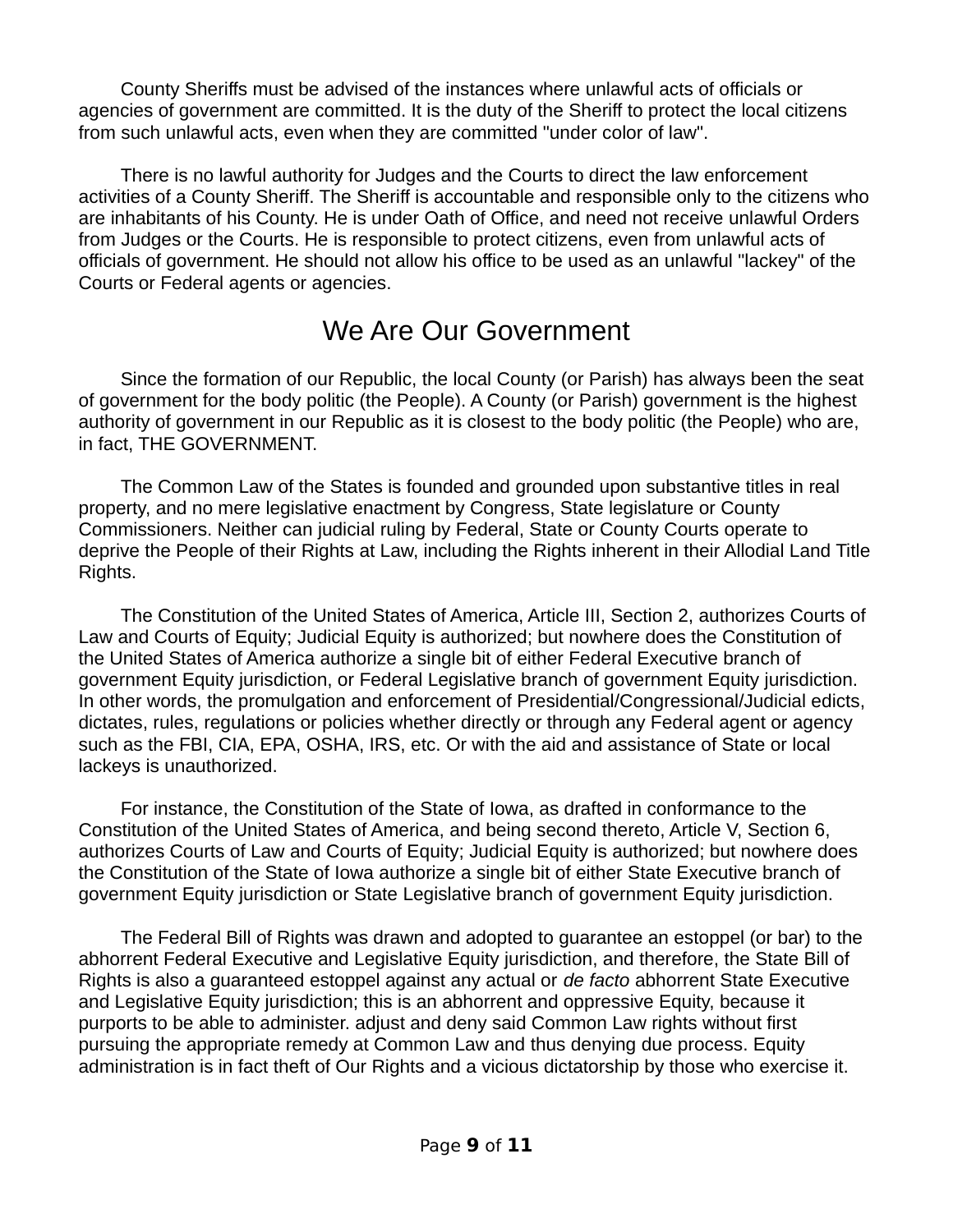County Sheriffs must be advised of the instances where unlawful acts of officials or agencies of government are committed. It is the duty of the Sheriff to protect the local citizens from such unlawful acts, even when they are committed "under color of law".

There is no lawful authority for Judges and the Courts to direct the law enforcement activities of a County Sheriff. The Sheriff is accountable and responsible only to the citizens who are inhabitants of his County. He is under Oath of Office, and need not receive unlawful Orders from Judges or the Courts. He is responsible to protect citizens, even from unlawful acts of officials of government. He should not allow his office to be used as an unlawful "lackey" of the Courts or Federal agents or agencies.

### We Are Our Government

Since the formation of our Republic, the local County (or Parish) has always been the seat of government for the body politic (the People). A County (or Parish) government is the highest authority of government in our Republic as it is closest to the body politic (the People) who are, in fact, THE GOVERNMENT.

The Common Law of the States is founded and grounded upon substantive titles in real property, and no mere legislative enactment by Congress, State legislature or County Commissioners. Neither can judicial ruling by Federal, State or County Courts operate to deprive the People of their Rights at Law, including the Rights inherent in their Allodial Land Title Rights.

The Constitution of the United States of America, Article III, Section 2, authorizes Courts of Law and Courts of Equity; Judicial Equity is authorized; but nowhere does the Constitution of the United States of America authorize a single bit of either Federal Executive branch of government Equity jurisdiction, or Federal Legislative branch of government Equity jurisdiction. In other words, the promulgation and enforcement of Presidential/Congressional/Judicial edicts, dictates, rules, regulations or policies whether directly or through any Federal agent or agency such as the FBI, CIA, EPA, OSHA, IRS, etc. Or with the aid and assistance of State or local lackeys is unauthorized.

For instance, the Constitution of the State of Iowa, as drafted in conformance to the Constitution of the United States of America, and being second thereto, Article V, Section 6, authorizes Courts of Law and Courts of Equity; Judicial Equity is authorized; but nowhere does the Constitution of the State of Iowa authorize a single bit of either State Executive branch of government Equity jurisdiction or State Legislative branch of government Equity jurisdiction.

The Federal Bill of Rights was drawn and adopted to guarantee an estoppel (or bar) to the abhorrent Federal Executive and Legislative Equity jurisdiction, and therefore, the State Bill of Rights is also a guaranteed estoppel against any actual or *de facto* abhorrent State Executive and Legislative Equity jurisdiction; this is an abhorrent and oppressive Equity, because it purports to be able to administer. adjust and deny said Common Law rights without first pursuing the appropriate remedy at Common Law and thus denying due process. Equity administration is in fact theft of Our Rights and a vicious dictatorship by those who exercise it.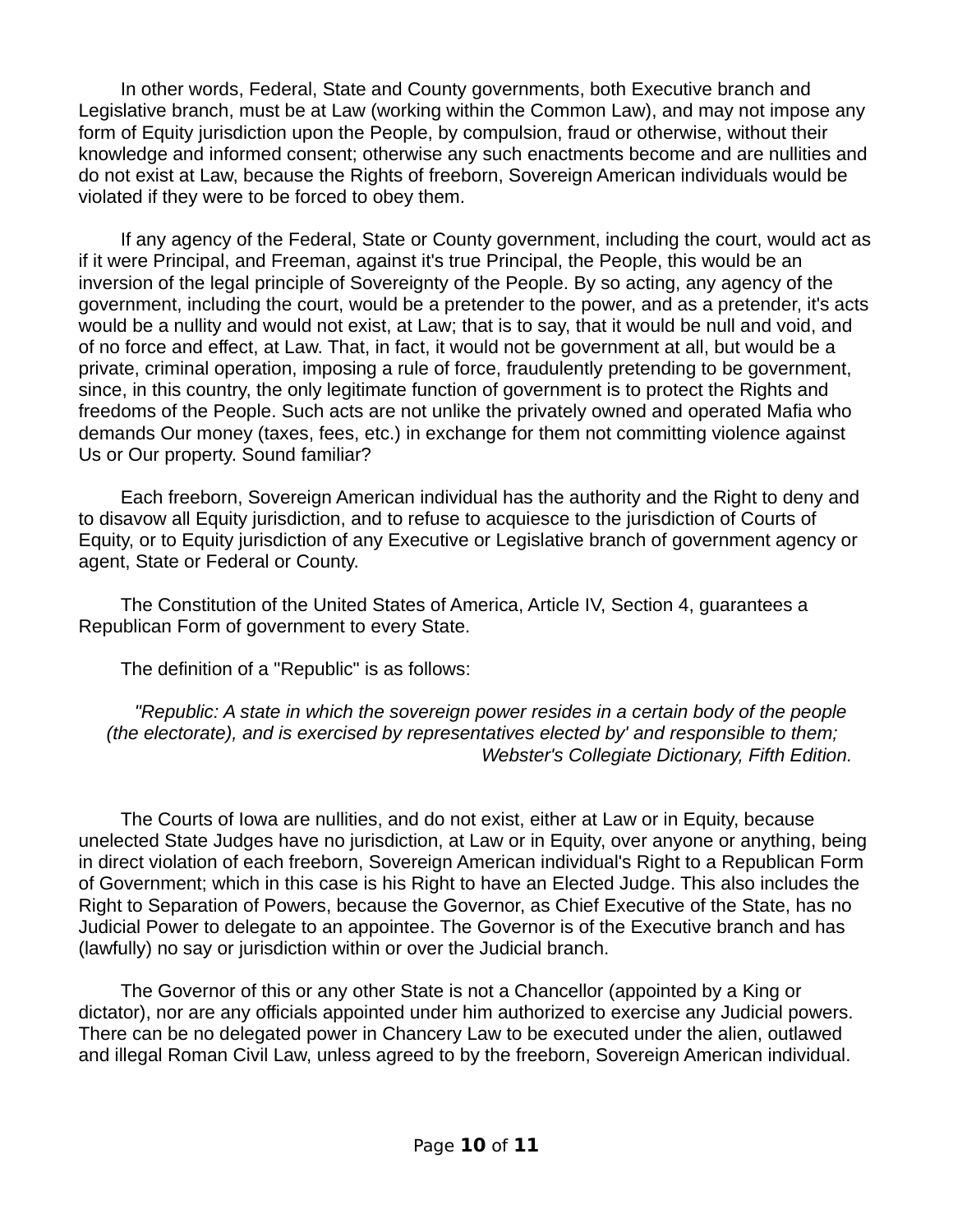In other words, Federal, State and County governments, both Executive branch and Legislative branch, must be at Law (working within the Common Law), and may not impose any form of Equity jurisdiction upon the People, by compulsion, fraud or otherwise, without their knowledge and informed consent; otherwise any such enactments become and are nullities and do not exist at Law, because the Rights of freeborn, Sovereign American individuals would be violated if they were to be forced to obey them.

If any agency of the Federal, State or County government, including the court, would act as if it were Principal, and Freeman, against it's true Principal, the People, this would be an inversion of the legal principle of Sovereignty of the People. By so acting, any agency of the government, including the court, would be a pretender to the power, and as a pretender, it's acts would be a nullity and would not exist, at Law; that is to say, that it would be null and void, and of no force and effect, at Law. That, in fact, it would not be government at all, but would be a private, criminal operation, imposing a rule of force, fraudulently pretending to be government, since, in this country, the only legitimate function of government is to protect the Rights and freedoms of the People. Such acts are not unlike the privately owned and operated Mafia who demands Our money (taxes, fees, etc.) in exchange for them not committing violence against Us or Our property. Sound familiar?

Each freeborn, Sovereign American individual has the authority and the Right to deny and to disavow all Equity jurisdiction, and to refuse to acquiesce to the jurisdiction of Courts of Equity, or to Equity jurisdiction of any Executive or Legislative branch of government agency or agent, State or Federal or County.

The Constitution of the United States of America, Article IV, Section 4, guarantees a Republican Form of government to every State.

The definition of a "Republic" is as follows:

*"Republic: A state in which the sovereign power resides in a certain body of the people (the electorate), and is exercised by representatives elected by' and responsible to them; Webster's Collegiate Dictionary, Fifth Edition.* 

The Courts of Iowa are nullities, and do not exist, either at Law or in Equity, because unelected State Judges have no jurisdiction, at Law or in Equity, over anyone or anything, being in direct violation of each freeborn, Sovereign American individual's Right to a Republican Form of Government; which in this case is his Right to have an Elected Judge. This also includes the Right to Separation of Powers, because the Governor, as Chief Executive of the State, has no Judicial Power to delegate to an appointee. The Governor is of the Executive branch and has (lawfully) no say or jurisdiction within or over the Judicial branch.

The Governor of this or any other State is not a Chancellor (appointed by a King or dictator), nor are any officials appointed under him authorized to exercise any Judicial powers. There can be no delegated power in Chancery Law to be executed under the alien, outlawed and illegal Roman Civil Law, unless agreed to by the freeborn, Sovereign American individual.